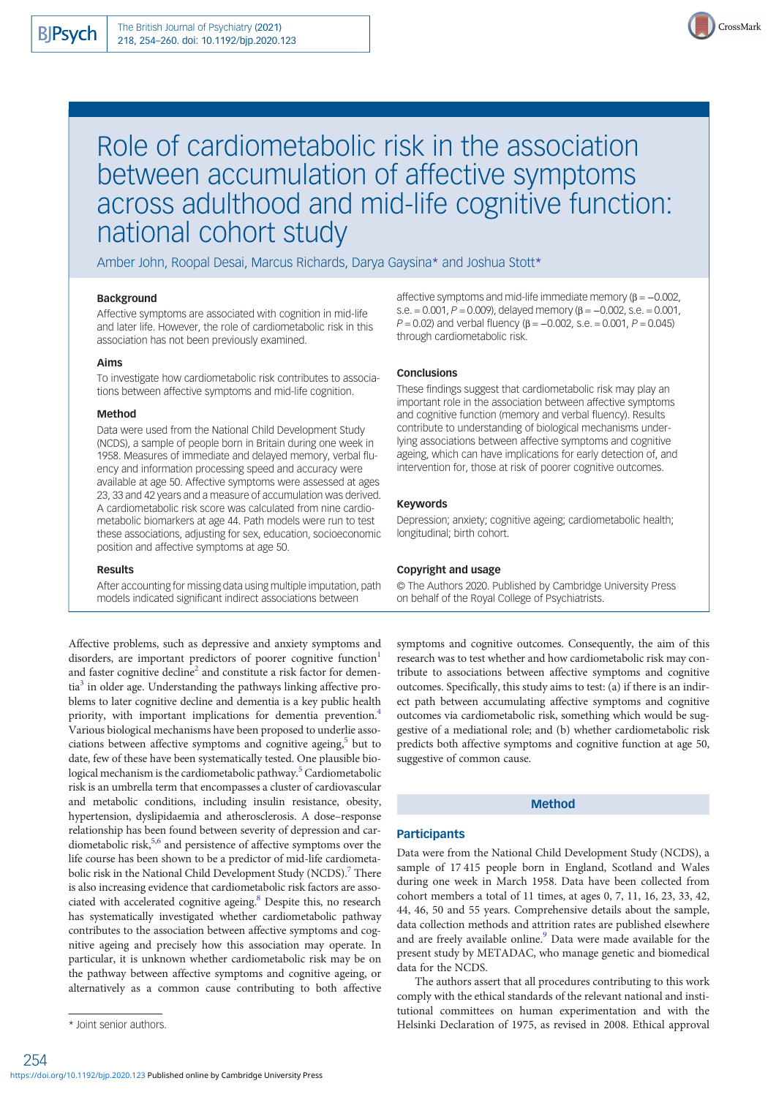

# Role of cardiometabolic risk in the association between accumulation of affective symptoms across adulthood and mid-life cognitive function: national cohort study

Amber John, Roopal Desai, Marcus Richards, Darya Gaysina\* and Joshua Stott\*

## Background

Affective symptoms are associated with cognition in mid-life and later life. However, the role of cardiometabolic risk in this association has not been previously examined.

# Aims

To investigate how cardiometabolic risk contributes to associations between affective symptoms and mid-life cognition.

## Method

Data were used from the National Child Development Study (NCDS), a sample of people born in Britain during one week in 1958. Measures of immediate and delayed memory, verbal fluency and information processing speed and accuracy were available at age 50. Affective symptoms were assessed at ages 23, 33 and 42 years and a measure of accumulation was derived. A cardiometabolic risk score was calculated from nine cardiometabolic biomarkers at age 44. Path models were run to test these associations, adjusting for sex, education, socioeconomic position and affective symptoms at age 50.

#### Results

After accounting for missing data using multiple imputation, path models indicated significant indirect associations between

Affective problems, such as depressive and anxiety symptoms and disorders, are important predictors of poorer cognitive function<sup>1</sup> and faster cognitive decline<sup>2</sup> and constitute a risk factor for dementia<sup>3</sup> in older age. Understanding the pathways linking affective problems to later cognitive decline and dementia is a key public health priority, with important implications for dementia prevention.<sup>4</sup> Various biological mechanisms have been proposed to underlie associations between affective symptoms and cognitive ageing,<sup>5</sup> but to date, few of these have been systematically tested. One plausible bio-logical mechanism is the cardiometabolic pathway.<sup>[5](#page-5-0)</sup> Cardiometabolic risk is an umbrella term that encompasses a cluster of cardiovascular and metabolic conditions, including insulin resistance, obesity, hypertension, dyslipidaemia and atherosclerosis. A dose–response relationship has been found between severity of depression and car-diometabolic risk,<sup>[5,6](#page-5-0)</sup> and persistence of affective symptoms over the life course has been shown to be a predictor of mid-life cardiometabolic risk in the National Child Development Study (NCDS).<sup>7</sup> There is also increasing evidence that cardiometabolic risk factors are associated with accelerated cognitive ageing.<sup>8</sup> Despite this, no research has systematically investigated whether cardiometabolic pathway contributes to the association between affective symptoms and cognitive ageing and precisely how this association may operate. In particular, it is unknown whether cardiometabolic risk may be on the pathway between affective symptoms and cognitive ageing, or alternatively as a common cause contributing to both affective

affective symptoms and mid-life immediate memory ( $β = -0.002$ , s.e. = 0.001,  $P = 0.009$ , delayed memory ( $\beta = -0.002$ , s.e. = 0.001,  $P = 0.02$ ) and verbal fluency (β = -0.002, s.e. = 0.001,  $P = 0.045$ ) through cardiometabolic risk.

#### **Conclusions**

These findings suggest that cardiometabolic risk may play an important role in the association between affective symptoms and cognitive function (memory and verbal fluency). Results contribute to understanding of biological mechanisms underlying associations between affective symptoms and cognitive ageing, which can have implications for early detection of, and intervention for, those at risk of poorer cognitive outcomes.

# Keywords

Depression; anxiety; cognitive ageing; cardiometabolic health; longitudinal; birth cohort.

#### Copyright and usage

© The Authors 2020. Published by Cambridge University Press on behalf of the Royal College of Psychiatrists.

symptoms and cognitive outcomes. Consequently, the aim of this research was to test whether and how cardiometabolic risk may contribute to associations between affective symptoms and cognitive outcomes. Specifically, this study aims to test: (a) if there is an indirect path between accumulating affective symptoms and cognitive outcomes via cardiometabolic risk, something which would be suggestive of a mediational role; and (b) whether cardiometabolic risk predicts both affective symptoms and cognitive function at age 50, suggestive of common cause.

## Method

# **Participants**

Data were from the National Child Development Study (NCDS), a sample of 17 415 people born in England, Scotland and Wales during one week in March 1958. Data have been collected from cohort members a total of 11 times, at ages 0, 7, 11, 16, 23, 33, 42, 44, 46, 50 and 55 years. Comprehensive details about the sample, data collection methods and attrition rates are published elsewhere and are freely available online.<sup>[9](#page-5-0)</sup> Data were made available for the present study by METADAC, who manage genetic and biomedical data for the NCDS.

The authors assert that all procedures contributing to this work comply with the ethical standards of the relevant national and institutional committees on human experimentation and with the \* Joint senior authors. Helsinki Declaration of 1975, as revised in 2008. Ethical approval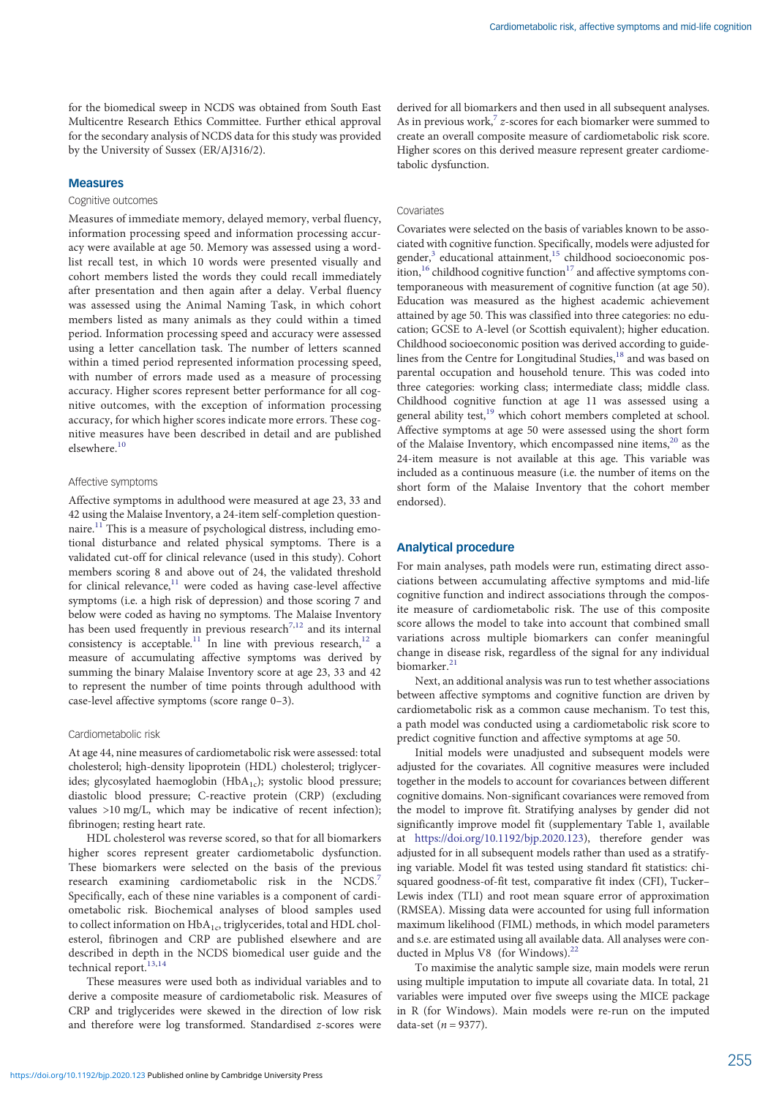for the biomedical sweep in NCDS was obtained from South East Multicentre Research Ethics Committee. Further ethical approval for the secondary analysis of NCDS data for this study was provided by the University of Sussex (ER/AJ316/2).

## Measures

#### Cognitive outcomes

Measures of immediate memory, delayed memory, verbal fluency, information processing speed and information processing accuracy were available at age 50. Memory was assessed using a wordlist recall test, in which 10 words were presented visually and cohort members listed the words they could recall immediately after presentation and then again after a delay. Verbal fluency was assessed using the Animal Naming Task, in which cohort members listed as many animals as they could within a timed period. Information processing speed and accuracy were assessed using a letter cancellation task. The number of letters scanned within a timed period represented information processing speed, with number of errors made used as a measure of processing accuracy. Higher scores represent better performance for all cognitive outcomes, with the exception of information processing accuracy, for which higher scores indicate more errors. These cognitive measures have been described in detail and are published elsewhere.[10](#page-5-0)

#### Affective symptoms

Affective symptoms in adulthood were measured at age 23, 33 and 42 using the Malaise Inventory, a 24-item self-completion question-naire.<sup>[11](#page-5-0)</sup> This is a measure of psychological distress, including emotional disturbance and related physical symptoms. There is a validated cut-off for clinical relevance (used in this study). Cohort members scoring 8 and above out of 24, the validated threshold for clinical relevance, $11$  were coded as having case-level affective symptoms (i.e. a high risk of depression) and those scoring 7 and below were coded as having no symptoms. The Malaise Inventory has been used frequently in previous research<sup>[7,12](#page-5-0)</sup> and its internal consistency is acceptable.<sup>[11](#page-5-0)</sup> In line with previous research,<sup>[12](#page-5-0)</sup> a measure of accumulating affective symptoms was derived by summing the binary Malaise Inventory score at age 23, 33 and 42 to represent the number of time points through adulthood with case-level affective symptoms (score range 0–3).

## Cardiometabolic risk

At age 44, nine measures of cardiometabolic risk were assessed: total cholesterol; high-density lipoprotein (HDL) cholesterol; triglycerides; glycosylated haemoglobin ( $HbA_{1c}$ ); systolic blood pressure; diastolic blood pressure; C-reactive protein (CRP) (excluding values >10 mg/L, which may be indicative of recent infection); fibrinogen; resting heart rate.

HDL cholesterol was reverse scored, so that for all biomarkers higher scores represent greater cardiometabolic dysfunction. These biomarkers were selected on the basis of the previous research examining cardiometabolic risk in the NCDS.<sup>[7](#page-5-0)</sup> Specifically, each of these nine variables is a component of cardiometabolic risk. Biochemical analyses of blood samples used to collect information on  $HbA_{1c}$ , triglycerides, total and  $HDL$  cholesterol, fibrinogen and CRP are published elsewhere and are described in depth in the NCDS biomedical user guide and the technical report.<sup>[13](#page-6-0),[14](#page-6-0)</sup>

These measures were used both as individual variables and to derive a composite measure of cardiometabolic risk. Measures of CRP and triglycerides were skewed in the direction of low risk and therefore were log transformed. Standardised z-scores were derived for all biomarkers and then used in all subsequent analyses. As in previous work, $7$  z-scores for each biomarker were summed to create an overall composite measure of cardiometabolic risk score. Higher scores on this derived measure represent greater cardiometabolic dysfunction.

#### Covariates

Covariates were selected on the basis of variables known to be associated with cognitive function. Specifically, models were adjusted for gender,<sup>[3](#page-5-0)</sup> educational attainment,<sup>15</sup> childhood socioeconomic position,  $16$  childhood cognitive function  $17$  and affective symptoms contemporaneous with measurement of cognitive function (at age 50). Education was measured as the highest academic achievement attained by age 50. This was classified into three categories: no education; GCSE to A-level (or Scottish equivalent); higher education. Childhood socioeconomic position was derived according to guide-lines from the Centre for Longitudinal Studies,<sup>[18](#page-6-0)</sup> and was based on parental occupation and household tenure. This was coded into three categories: working class; intermediate class; middle class. Childhood cognitive function at age 11 was assessed using a general ability test,<sup>[19](#page-6-0)</sup> which cohort members completed at school. Affective symptoms at age 50 were assessed using the short form of the Malaise Inventory, which encompassed nine items,<sup>[20](#page-6-0)</sup> as the 24-item measure is not available at this age. This variable was included as a continuous measure (i.e. the number of items on the short form of the Malaise Inventory that the cohort member endorsed).

## Analytical procedure

For main analyses, path models were run, estimating direct associations between accumulating affective symptoms and mid-life cognitive function and indirect associations through the composite measure of cardiometabolic risk. The use of this composite score allows the model to take into account that combined small variations across multiple biomarkers can confer meaningful change in disease risk, regardless of the signal for any individual biomarker.[21](#page-6-0)

Next, an additional analysis was run to test whether associations between affective symptoms and cognitive function are driven by cardiometabolic risk as a common cause mechanism. To test this, a path model was conducted using a cardiometabolic risk score to predict cognitive function and affective symptoms at age 50.

Initial models were unadjusted and subsequent models were adjusted for the covariates. All cognitive measures were included together in the models to account for covariances between different cognitive domains. Non-significant covariances were removed from the model to improve fit. Stratifying analyses by gender did not significantly improve model fit (supplementary Table 1, available at [https://doi.org/10.1192/bjp.2020.123\)](https://doi.org/10.1192/bjp.2020.123), therefore gender was adjusted for in all subsequent models rather than used as a stratifying variable. Model fit was tested using standard fit statistics: chisquared goodness-of-fit test, comparative fit index (CFI), Tucker– Lewis index (TLI) and root mean square error of approximation (RMSEA). Missing data were accounted for using full information maximum likelihood (FIML) methods, in which model parameters and s.e. are estimated using all available data. All analyses were conducted in Mplus V8 (for Windows). $^{22}$  $^{22}$  $^{22}$ 

To maximise the analytic sample size, main models were rerun using multiple imputation to impute all covariate data. In total, 21 variables were imputed over five sweeps using the MICE package in R (for Windows). Main models were re-run on the imputed data-set  $(n = 9377)$ .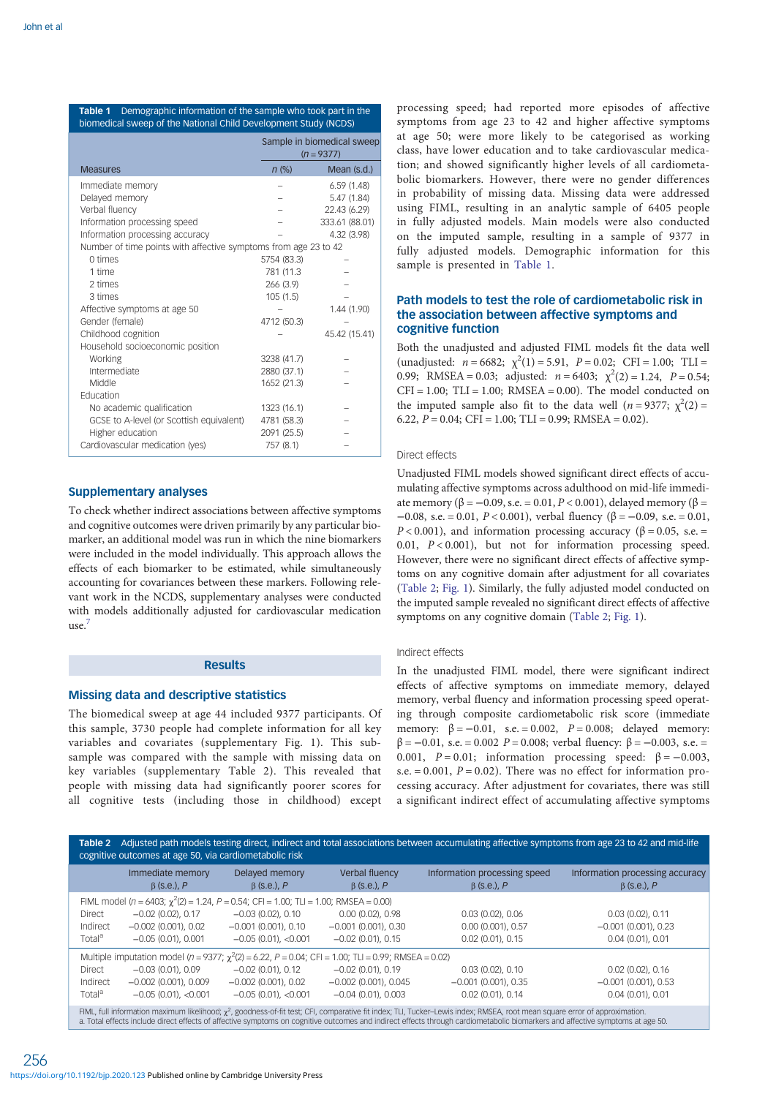<span id="page-2-0"></span>

| <b>Table 1</b> Demographic information of the sample who took part in the<br>biomedical sweep of the National Child Development Study (NCDS) |                            |  |  |  |  |
|----------------------------------------------------------------------------------------------------------------------------------------------|----------------------------|--|--|--|--|
|                                                                                                                                              | Sample in biomedical sweep |  |  |  |  |

|                                                                 |             | $(n = 9377)$   |  |
|-----------------------------------------------------------------|-------------|----------------|--|
| <b>Measures</b>                                                 | $n$ (%)     | Mean (s.d.)    |  |
| Immediate memory                                                |             | 6.59(1.48)     |  |
| Delayed memory                                                  |             | 5.47 (1.84)    |  |
| Verbal fluency                                                  |             | 22.43 (6.29)   |  |
| Information processing speed                                    |             | 333.61 (88.01) |  |
| Information processing accuracy                                 |             | 4.32 (3.98)    |  |
| Number of time points with affective symptoms from age 23 to 42 |             |                |  |
| $0 \times$                                                      | 5754 (83.3) |                |  |
| 1 time                                                          | 781 (11.3   |                |  |
| 2 times                                                         | 266 (3.9)   |                |  |
| 3 times                                                         | 105(1.5)    |                |  |
| Affective symptoms at age 50                                    |             | 1.44 (1.90)    |  |
| Gender (female)                                                 | 4712 (50.3) |                |  |
| Childhood cognition                                             |             | 45.42 (15.41)  |  |
| Household socioeconomic position                                |             |                |  |
| Working                                                         | 3238 (41.7) |                |  |
| Intermediate                                                    | 2880 (37.1) |                |  |
| Middle                                                          | 1652 (21.3) |                |  |
| Education                                                       |             |                |  |
| No academic qualification                                       | 1323 (16.1) |                |  |
| GCSE to A-level (or Scottish equivalent)                        | 4781 (58.3) |                |  |
| Higher education                                                | 2091 (25.5) |                |  |
| Cardiovascular medication (yes)                                 | 757 (8.1)   |                |  |

## Supplementary analyses

To check whether indirect associations between affective symptoms and cognitive outcomes were driven primarily by any particular biomarker, an additional model was run in which the nine biomarkers were included in the model individually. This approach allows the effects of each biomarker to be estimated, while simultaneously accounting for covariances between these markers. Following relevant work in the NCDS, supplementary analyses were conducted with models additionally adjusted for cardiovascular medication  $use.$ 

## **Results**

# Missing data and descriptive statistics

The biomedical sweep at age 44 included 9377 participants. Of this sample, 3730 people had complete information for all key variables and covariates (supplementary Fig. 1). This subsample was compared with the sample with missing data on key variables (supplementary Table 2). This revealed that people with missing data had significantly poorer scores for all cognitive tests (including those in childhood) except processing speed; had reported more episodes of affective symptoms from age 23 to 42 and higher affective symptoms at age 50; were more likely to be categorised as working class, have lower education and to take cardiovascular medication; and showed significantly higher levels of all cardiometabolic biomarkers. However, there were no gender differences in probability of missing data. Missing data were addressed using FIML, resulting in an analytic sample of 6405 people in fully adjusted models. Main models were also conducted on the imputed sample, resulting in a sample of 9377 in fully adjusted models. Demographic information for this sample is presented in Table 1.

## Path models to test the role of cardiometabolic risk in the association between affective symptoms and cognitive function

Both the unadjusted and adjusted FIML models fit the data well (unadjusted:  $n = 6682$ ;  $\chi^2(1) = 5.91$ ,  $P = 0.02$ ; CFI = 1.00; TLI = 0.99; RMSEA = 0.03; adjusted:  $n = 6403$ ;  $\chi^2(2) = 1.24$ ,  $P = 0.54$ ;  $CFI = 1.00$ ;  $TLI = 1.00$ ;  $RMSEA = 0.00$ ). The model conducted on the imputed sample also fit to the data well ( $n = 9377$ ;  $\chi^2(2) =$ 6.22,  $P = 0.04$ ; CFI = 1.00; TLI = 0.99; RMSEA = 0.02).

## Direct effects

Unadjusted FIML models showed significant direct effects of accumulating affective symptoms across adulthood on mid-life immediate memory (β = -0.09, s.e. = 0.01, P < 0.001), delayed memory (β =  $-0.08$ , s.e. = 0.01, P < 0.001), verbal fluency (β = -0.09, s.e. = 0.01,  $P < 0.001$ ), and information processing accuracy ( $\beta = 0.05$ , s.e. = 0.01,  $P < 0.001$ ), but not for information processing speed. However, there were no significant direct effects of affective symptoms on any cognitive domain after adjustment for all covariates (Table 2; [Fig. 1\)](#page-3-0). Similarly, the fully adjusted model conducted on the imputed sample revealed no significant direct effects of affective symptoms on any cognitive domain (Table 2; [Fig. 1](#page-3-0)).

#### Indirect effects

In the unadjusted FIML model, there were significant indirect effects of affective symptoms on immediate memory, delayed memory, verbal fluency and information processing speed operating through composite cardiometabolic risk score (immediate memory:  $\beta = -0.01$ , s.e. = 0.002,  $P = 0.008$ ; delayed memory:  $β = -0.01$ , s.e. = 0.002  $P = 0.008$ ; verbal fluency:  $β = -0.003$ , s.e. = 0.001,  $P = 0.01$ ; information processing speed:  $\beta = -0.003$ , s.e.  $= 0.001$ ,  $P = 0.02$ ). There was no effect for information processing accuracy. After adjustment for covariates, there was still a significant indirect effect of accumulating affective symptoms

| Adjusted path models testing direct, indirect and total associations between accumulating affective symptoms from age 23 to 42 and mid-life<br>Table 2<br>cognitive outcomes at age 50, via cardiometabolic risk |                                       |                                                                                                                  |                                     |                                                   |                                                      |  |
|------------------------------------------------------------------------------------------------------------------------------------------------------------------------------------------------------------------|---------------------------------------|------------------------------------------------------------------------------------------------------------------|-------------------------------------|---------------------------------------------------|------------------------------------------------------|--|
|                                                                                                                                                                                                                  | Immediate memory<br>$\beta$ (s.e.), P | Delayed memory<br>$\beta$ (s.e.), P                                                                              | Verbal fluency<br>$\beta$ (s.e.), P | Information processing speed<br>$\beta$ (s.e.), P | Information processing accuracy<br>$\beta$ (s.e.), P |  |
|                                                                                                                                                                                                                  |                                       | FIML model ( $n = 6403$ ; $\gamma^2(2) = 1.24$ , $P = 0.54$ ; CFI = 1.00; TLI = 1.00; RMSEA = 0.00)              |                                     |                                                   |                                                      |  |
| Direct                                                                                                                                                                                                           | $-0.02$ (0.02), 0.17                  | $-0.03(0.02)$ , 0.10                                                                                             | $0.00(0.02)$ , $0.98$               | $0.03(0.02)$ , $0.06$                             | $0.03(0.02)$ , $0.11$                                |  |
| Indirect                                                                                                                                                                                                         | $-0.002$ (0.001), 0.02                | $-0.001$ (0.001), 0.10                                                                                           | $-0.001$ (0.001), 0.30              | $0.00$ (0.001), 0.57                              | $-0.001$ (0.001), 0.23                               |  |
| Total <sup>a</sup>                                                                                                                                                                                               | $-0.05(0.01), 0.001$                  | $-0.05$ (0.01), <0.001                                                                                           | $-0.02$ (0.01), 0.15                | $0.02$ (0.01), 0.15                               | 0.04(0.01), 0.01                                     |  |
|                                                                                                                                                                                                                  |                                       | Multiple imputation model ( $n = 9377$ ; $\chi^2(2) = 6.22$ , $P = 0.04$ ; CFI = 1.00; TLI = 0.99; RMSEA = 0.02) |                                     |                                                   |                                                      |  |
| Direct                                                                                                                                                                                                           | $-0.03(0.01)$ , 0.09                  | $-0.02$ (0.01), 0.12                                                                                             | $-0.02$ (0.01), 0.19                | $0.03(0.02)$ , $0.10$                             | $0.02(0.02)$ , $0.16$                                |  |
| Indirect                                                                                                                                                                                                         | $-0.002$ (0.001), 0.009               | $-0.002$ (0.001), 0.02                                                                                           | $-0.002$ (0.001), 0.045             | $-0.001$ (0.001), 0.35                            | $-0.001$ (0.001), 0.53                               |  |
| Total <sup>a</sup>                                                                                                                                                                                               | $-0.05$ (0.01), <0.001                | $-0.05$ (0.01), <0.001                                                                                           | $-0.04$ (0.01), 0.003               | $0.02$ (0.01), 0.14                               | 0.04(0.01), 0.01                                     |  |
| FIML, full information maximum likelihood; $\chi^2$ , goodness-of-fit test; CFI, comparative fit index; TLI, Tucker-Lewis index; RMSEA, root mean square error of approximation.                                 |                                       |                                                                                                                  |                                     |                                                   |                                                      |  |

FIML, full information maximum likelihood; x<sup>2</sup>, goodness-of-fit test; CFI, comparative fit index; TLI, Tucker–Lewis index; RMSEA, root mean square error of approximation.<br>a. Total effects include direct effects of affecti

256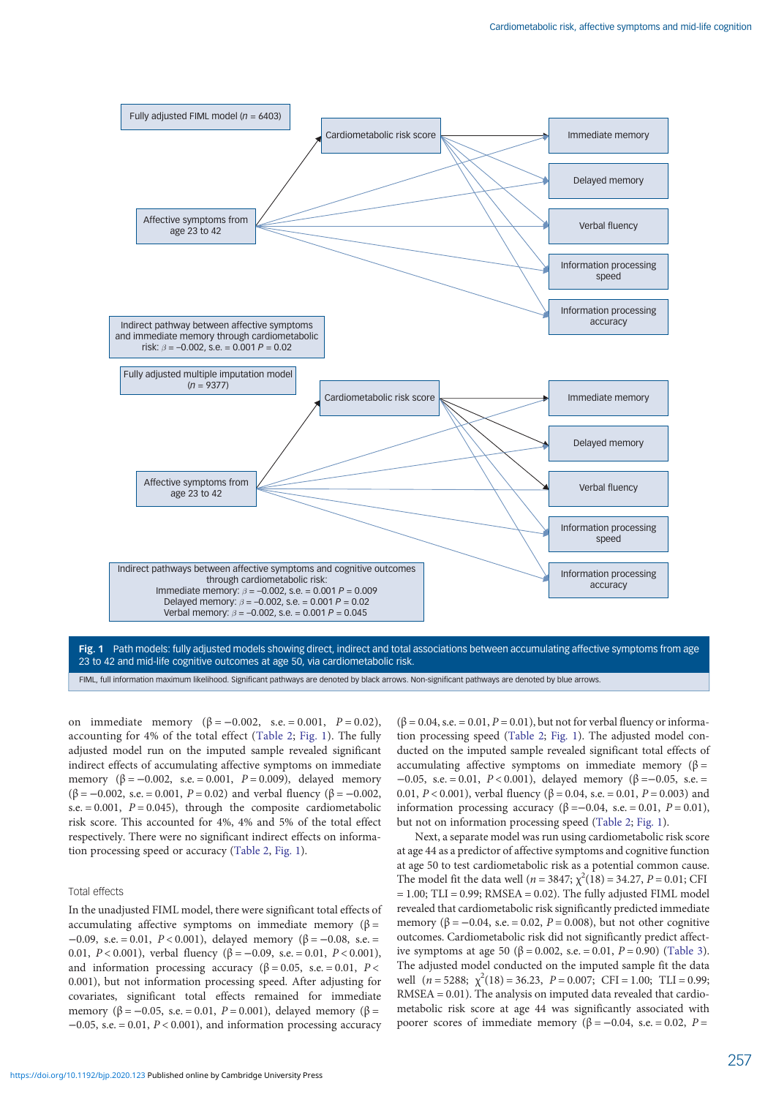<span id="page-3-0"></span>

Fig. 1 Path models: fully adjusted models showing direct, indirect and total associations between accumulating affective symptoms from age 23 to 42 and mid-life cognitive outcomes at age 50, via cardiometabolic risk.

FIML, full information maximum likelihood. Significant pathways are denoted by black arrows. Non-significant pathways are denoted by blue arrows.

on immediate memory  $(β = -0.002, s.e. = 0.001, P = 0.02)$ , accounting for 4% of the total effect [\(Table 2;](#page-2-0) Fig. 1). The fully adjusted model run on the imputed sample revealed significant indirect effects of accumulating affective symptoms on immediate memory  $(\beta = -0.002, s.e. = 0.001, P = 0.009)$ , delayed memory  $(\beta = -0.002, s.e. = 0.001, P = 0.02)$  and verbal fluency  $(\beta = -0.002, s.e. = 0.001, P = 0.02)$ s.e.  $= 0.001$ ,  $P = 0.045$ ), through the composite cardiometabolic risk score. This accounted for 4%, 4% and 5% of the total effect respectively. There were no significant indirect effects on information processing speed or accuracy ([Table 2](#page-2-0), Fig. 1).

## Total effects

In the unadjusted FIML model, there were significant total effects of accumulating affective symptoms on immediate memory ( $\beta$  =  $-0.09$ , s.e. = 0.01, P < 0.001), delayed memory (β = -0.08, s.e. = 0.01,  $P < 0.001$ ), verbal fluency (β = -0.09, s.e. = 0.01,  $P < 0.001$ ), and information processing accuracy ( $\beta = 0.05$ , s.e. = 0.01, P < 0.001), but not information processing speed. After adjusting for covariates, significant total effects remained for immediate memory ( $\beta = -0.05$ , s.e. = 0.01, P = 0.001), delayed memory ( $\beta$  =  $-0.05$ , s.e. = 0.01,  $P < 0.001$ ), and information processing accuracy

 $(\beta = 0.04, s.e. = 0.01, P = 0.01)$ , but not for verbal fluency or information processing speed ([Table 2](#page-2-0); Fig. 1). The adjusted model conducted on the imputed sample revealed significant total effects of accumulating affective symptoms on immediate memory ( $\beta$  =  $-0.05$ , s.e. = 0.01, P < 0.001), delayed memory (β = -0.05, s.e. = 0.01,  $P < 0.001$ ), verbal fluency ( $\beta = 0.04$ , s.e. = 0.01,  $P = 0.003$ ) and information processing accuracy  $(\beta = -0.04, s.e. = 0.01, P = 0.01)$ , but not on information processing speed [\(Table 2](#page-2-0); Fig. 1).

Next, a separate model was run using cardiometabolic risk score at age 44 as a predictor of affective symptoms and cognitive function at age 50 to test cardiometabolic risk as a potential common cause. The model fit the data well ( $n = 3847$ ;  $\chi^2(18) = 34.27$ ,  $P = 0.01$ ; CFI  $= 1.00$ ; TLI  $= 0.99$ ; RMSEA  $= 0.02$ ). The fully adjusted FIML model revealed that cardiometabolic risk significantly predicted immediate memory ( $\beta = -0.04$ , s.e. = 0.02,  $P = 0.008$ ), but not other cognitive outcomes. Cardiometabolic risk did not significantly predict affective symptoms at age 50 (β = 0.002, s.e. = 0.01,  $P = 0.90$ ) [\(Table 3](#page-4-0)). The adjusted model conducted on the imputed sample fit the data well  $(n = 5288; \chi^2(18) = 36.23, P = 0.007; CFI = 1.00; TLI = 0.99;$ RMSEA = 0.01). The analysis on imputed data revealed that cardiometabolic risk score at age 44 was significantly associated with poorer scores of immediate memory ( $β = -0.04$ , s.e. = 0.02, P =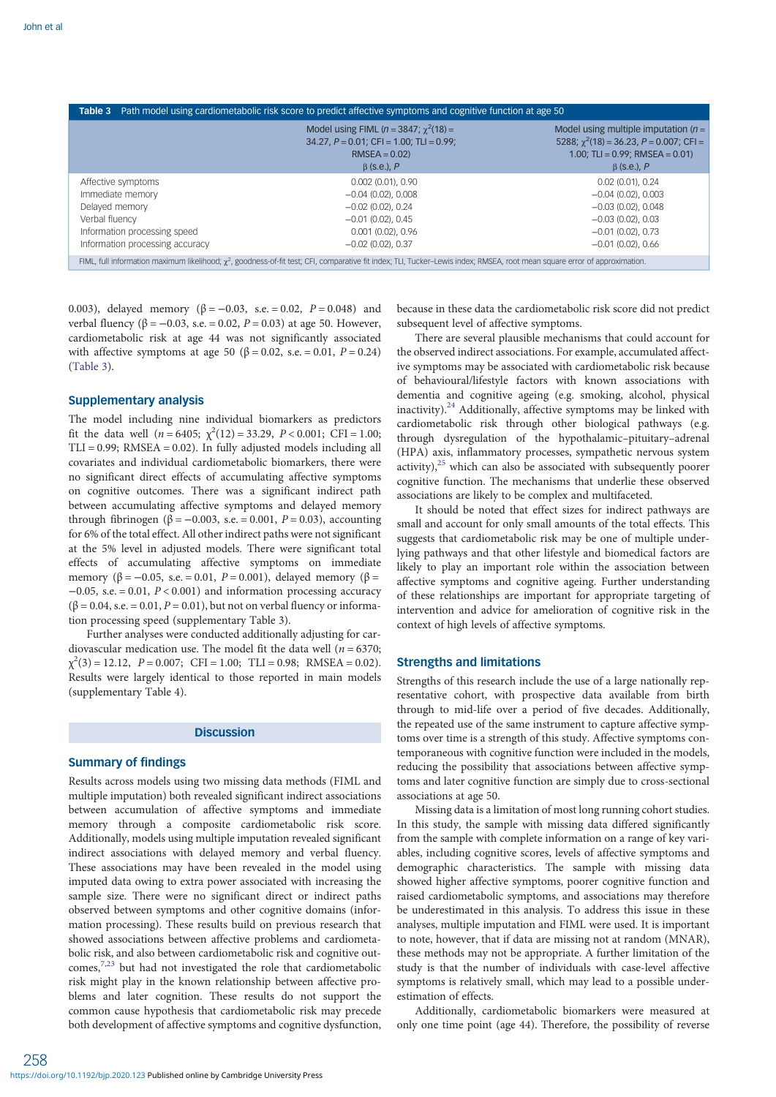<span id="page-4-0"></span>

| Path model using cardiometabolic risk score to predict affective symptoms and cognitive function at age 50<br>Table 3                                                            |                                                                                                                                      |                                                                                                                                                         |  |  |  |  |
|----------------------------------------------------------------------------------------------------------------------------------------------------------------------------------|--------------------------------------------------------------------------------------------------------------------------------------|---------------------------------------------------------------------------------------------------------------------------------------------------------|--|--|--|--|
|                                                                                                                                                                                  |                                                                                                                                      |                                                                                                                                                         |  |  |  |  |
|                                                                                                                                                                                  | Model using FIML ( $n = 3847$ ; $\chi^2(18) =$<br>$34.27, P = 0.01$ ; CFI = 1.00; TLI = 0.99;<br>$RMSEA = 0.02$<br>$\beta$ (s.e.), P | Model using multiple imputation $(n =$<br>5288; $\gamma^2$ (18) = 36.23, P = 0.007; CFI =<br>1.00; TLI = $0.99$ ; RMSEA = $0.01$ )<br>$\beta$ (s.e.), P |  |  |  |  |
| Affective symptoms                                                                                                                                                               | $0.002$ (0.01), 0.90                                                                                                                 | $0.02$ (0.01), 0.24                                                                                                                                     |  |  |  |  |
| Immediate memory                                                                                                                                                                 | $-0.04$ (0.02), 0.008                                                                                                                | $-0.04(0.02)$ , 0.003                                                                                                                                   |  |  |  |  |
| Delayed memory                                                                                                                                                                   | $-0.02$ (0.02), 0.24                                                                                                                 | $-0.03(0.02)$ , 0.048                                                                                                                                   |  |  |  |  |
| Verbal fluency                                                                                                                                                                   | $-0.01$ (0.02), 0.45                                                                                                                 | $-0.03(0.02)$ , 0.03                                                                                                                                    |  |  |  |  |
| Information processing speed                                                                                                                                                     | $0.001$ (0.02), 0.96                                                                                                                 | $-0.01$ (0.02), 0.73                                                                                                                                    |  |  |  |  |
| Information processing accuracy                                                                                                                                                  | $-0.02$ (0.02), 0.37                                                                                                                 | $-0.01$ (0.02), 0.66                                                                                                                                    |  |  |  |  |
| FIML, full information maximum likelihood; $\chi^2$ , goodness-of-fit test; CFI, comparative fit index; TLI, Tucker-Lewis index; RMSEA, root mean square error of approximation. |                                                                                                                                      |                                                                                                                                                         |  |  |  |  |

0.003), delayed memory ( $\beta = -0.03$ , s.e. = 0.02,  $P = 0.048$ ) and verbal fluency (β = -0.03, s.e. = 0.02,  $P = 0.03$ ) at age 50. However, cardiometabolic risk at age 44 was not significantly associated with affective symptoms at age 50 ( $\beta = 0.02$ , s.e. = 0.01, P = 0.24) (Table 3).

## Supplementary analysis

The model including nine individual biomarkers as predictors fit the data well ( $n = 6405$ ;  $\chi^2(12) = 33.29$ ,  $P < 0.001$ ; CFI = 1.00;  $TLI = 0.99$ ;  $RMSEA = 0.02$ ). In fully adjusted models including all covariates and individual cardiometabolic biomarkers, there were no significant direct effects of accumulating affective symptoms on cognitive outcomes. There was a significant indirect path between accumulating affective symptoms and delayed memory through fibrinogen ( $\beta$  = -0.003, s.e. = 0.001, P = 0.03), accounting for 6% of the total effect. All other indirect paths were not significant at the 5% level in adjusted models. There were significant total effects of accumulating affective symptoms on immediate memory (β = -0.05, s.e. = 0.01, P = 0.001), delayed memory (β =  $-0.05$ , s.e. = 0.01,  $P < 0.001$ ) and information processing accuracy  $(\beta = 0.04, s.e. = 0.01, P = 0.01)$ , but not on verbal fluency or information processing speed (supplementary Table 3).

Further analyses were conducted additionally adjusting for cardiovascular medication use. The model fit the data well ( $n = 6370$ ;  $\chi^2(3) = 12.12$ ,  $P = 0.007$ ; CFI = 1.00; TLI = 0.98; RMSEA = 0.02). Results were largely identical to those reported in main models (supplementary Table 4).

## **Discussion**

## Summary of findings

Results across models using two missing data methods (FIML and multiple imputation) both revealed significant indirect associations between accumulation of affective symptoms and immediate memory through a composite cardiometabolic risk score. Additionally, models using multiple imputation revealed significant indirect associations with delayed memory and verbal fluency. These associations may have been revealed in the model using imputed data owing to extra power associated with increasing the sample size. There were no significant direct or indirect paths observed between symptoms and other cognitive domains (information processing). These results build on previous research that showed associations between affective problems and cardiometabolic risk, and also between cardiometabolic risk and cognitive outcomes, $7,23$  $7,23$  $7,23$  but had not investigated the role that cardiometabolic risk might play in the known relationship between affective problems and later cognition. These results do not support the common cause hypothesis that cardiometabolic risk may precede both development of affective symptoms and cognitive dysfunction,

because in these data the cardiometabolic risk score did not predict subsequent level of affective symptoms.

There are several plausible mechanisms that could account for the observed indirect associations. For example, accumulated affective symptoms may be associated with cardiometabolic risk because of behavioural/lifestyle factors with known associations with dementia and cognitive ageing (e.g. smoking, alcohol, physical inactivity). $24$  Additionally, affective symptoms may be linked with cardiometabolic risk through other biological pathways (e.g. through dysregulation of the hypothalamic–pituitary–adrenal (HPA) axis, inflammatory processes, sympathetic nervous system activity), $25$  which can also be associated with subsequently poorer cognitive function. The mechanisms that underlie these observed associations are likely to be complex and multifaceted.

It should be noted that effect sizes for indirect pathways are small and account for only small amounts of the total effects. This suggests that cardiometabolic risk may be one of multiple underlying pathways and that other lifestyle and biomedical factors are likely to play an important role within the association between affective symptoms and cognitive ageing. Further understanding of these relationships are important for appropriate targeting of intervention and advice for amelioration of cognitive risk in the context of high levels of affective symptoms.

# Strengths and limitations

Strengths of this research include the use of a large nationally representative cohort, with prospective data available from birth through to mid-life over a period of five decades. Additionally, the repeated use of the same instrument to capture affective symptoms over time is a strength of this study. Affective symptoms contemporaneous with cognitive function were included in the models, reducing the possibility that associations between affective symptoms and later cognitive function are simply due to cross-sectional associations at age 50.

Missing data is a limitation of most long running cohort studies. In this study, the sample with missing data differed significantly from the sample with complete information on a range of key variables, including cognitive scores, levels of affective symptoms and demographic characteristics. The sample with missing data showed higher affective symptoms, poorer cognitive function and raised cardiometabolic symptoms, and associations may therefore be underestimated in this analysis. To address this issue in these analyses, multiple imputation and FIML were used. It is important to note, however, that if data are missing not at random (MNAR), these methods may not be appropriate. A further limitation of the study is that the number of individuals with case-level affective symptoms is relatively small, which may lead to a possible underestimation of effects.

Additionally, cardiometabolic biomarkers were measured at only one time point (age 44). Therefore, the possibility of reverse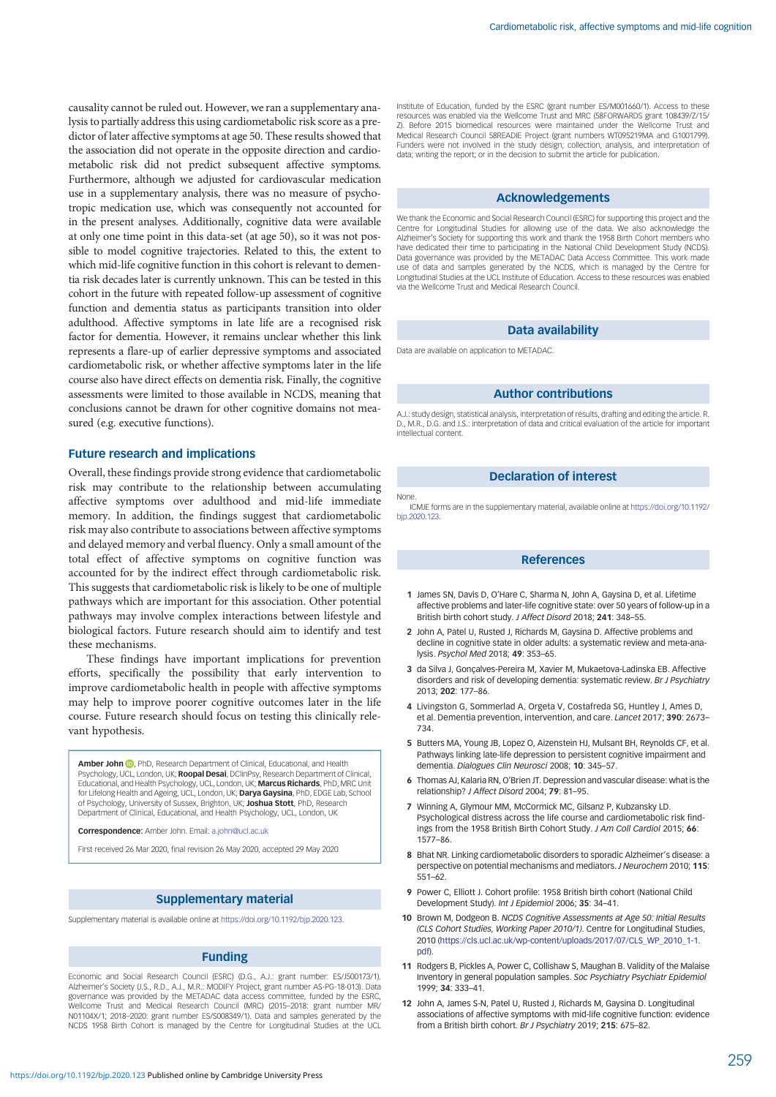<span id="page-5-0"></span>causality cannot be ruled out. However, we ran a supplementary analysis to partially address this using cardiometabolic risk score as a predictor of later affective symptoms at age 50. These results showed that the association did not operate in the opposite direction and cardiometabolic risk did not predict subsequent affective symptoms. Furthermore, although we adjusted for cardiovascular medication use in a supplementary analysis, there was no measure of psychotropic medication use, which was consequently not accounted for in the present analyses. Additionally, cognitive data were available at only one time point in this data-set (at age 50), so it was not possible to model cognitive trajectories. Related to this, the extent to which mid-life cognitive function in this cohort is relevant to dementia risk decades later is currently unknown. This can be tested in this cohort in the future with repeated follow-up assessment of cognitive function and dementia status as participants transition into older adulthood. Affective symptoms in late life are a recognised risk factor for dementia. However, it remains unclear whether this link represents a flare-up of earlier depressive symptoms and associated cardiometabolic risk, or whether affective symptoms later in the life course also have direct effects on dementia risk. Finally, the cognitive assessments were limited to those available in NCDS, meaning that conclusions cannot be drawn for other cognitive domains not measured (e.g. executive functions).

## Future research and implications

Overall, these findings provide strong evidence that cardiometabolic risk may contribute to the relationship between accumulating affective symptoms over adulthood and mid-life immediate memory. In addition, the findings suggest that cardiometabolic risk may also contribute to associations between affective symptoms and delayed memory and verbal fluency. Only a small amount of the total effect of affective symptoms on cognitive function was accounted for by the indirect effect through cardiometabolic risk. This suggests that cardiometabolic risk is likely to be one of multiple pathways which are important for this association. Other potential pathways may involve complex interactions between lifestyle and biological factors. Future research should aim to identify and test these mechanisms.

These findings have important implications for prevention efforts, specifically the possibility that early intervention to improve cardiometabolic health in people with affective symptoms may help to improve poorer cognitive outcomes later in the life course. Future research should focus on testing this clinically relevant hypothesis.

Amber John <sup>(D</sup>[,](https://orcid.org/0000-0002-8207-7698) PhD, Research Department of Clinical, Educational, and Health Psychology, UCL, London, UK; Roopal Desai, DClinPsy, Research Department of Clinical. Educational, and Health Psychology, UCL, London, UK; Marcus Richards, PhD, MRC Unit for Lifelong Health and Ageing, UCL, London, UK; Darya Gaysina, PhD, EDGE Lab, School of Psychology, University of Sussex, Brighton, UK; Joshua Stott, PhD, Research Department of Clinical, Educational, and Health Psychology, UCL, London, UK

Correspondence: Amber John. Email: [a.john@ucl.ac.uk](mailto:a.john@ucl.ac.uk)

First received 26 Mar 2020, final revision 26 May 2020, accepted 29 May 2020

## Supplementary material

Supplementary material is available online at <https://doi.org/10.1192/bjp.2020.123>.

#### Funding

Economic and Social Research Council (ESRC) (D.G., A.J.: grant number: ES/J500173/1). Alzheimer's Society (J.S., R.D., A.J., M.R.: MODIFY Project, grant number AS-PG-18-013). Data governance was provided by the METADAC data access committee, funded by the ESRC, Wellcome Trust and Medical Research Council (MRC) (2015–2018: grant number MR/ N01104X/1; 2018–2020: grant number ES/S008349/1). Data and samples generated by the NCDS 1958 Birth Cohort is managed by the Centre for Longitudinal Studies at the UCL

## Acknowledgements

We thank the Economic and Social Research Council (ESRC) for supporting this project and the Centre for Longitudinal Studies for allowing use of the data. We also acknowledge the Alzheimer's Society for supporting this work and thank the 1958 Birth Cohort members who have dedicated their time to participating in the National Child Development Study (NCDS). Data governance was provided by the METADAC Data Access Committee. This work made use of data and samples generated by the NCDS, which is managed by the Centre for Longitudinal Studies at the UCL Institute of Education. Access to these resources was enabled via the Wellcome Trust and Medical Research Council.

#### Data availability

Data are available on application to METADAC.

# Author contributions

A.J.: study design, statistical analysis, interpretation of results, drafting and editing the article. R. D., M.R., D.G. and J.S.: interpretation of data and critical evaluation of the article for important intellectual content.

# Declaration of interest

None.

ICMJE forms are in the supplementary material, available online at [https://doi.org/10.1192/](https://doi.org/10.1192/10.1192/bjp.2020.123) [bjp.2020.123.](https://doi.org/10.1192/10.1192/bjp.2020.123)

#### References

- 1 James SN, Davis D, O'Hare C, Sharma N, John A, Gaysina D, et al. Lifetime affective problems and later-life cognitive state: over 50 years of follow-up in a British birth cohort study. J Affect Disord 2018; 241: 348–55.
- 2 John A, Patel U, Rusted J, Richards M, Gaysina D. Affective problems and decline in cognitive state in older adults: a systematic review and meta-analysis. Psychol Med 2018; 49: 353–65.
- 3 da Silva J, Gonçalves-Pereira M, Xavier M, Mukaetova-Ladinska EB. Affective disorders and risk of developing dementia: systematic review. Br J Psychiatry 2013; 202: 177–86.
- 4 Livingston G, Sommerlad A, Orgeta V, Costafreda SG, Huntley J, Ames D, et al. Dementia prevention, intervention, and care. Lancet 2017; 390: 2673– 734.
- 5. Butters MA, Young JB, Lopez O, Aizenstein HJ, Mulsant BH, Reynolds CF, et al. Pathways linking late-life depression to persistent cognitive impairment and dementia. Dialogues Clin Neurosci 2008; 10: 345–57.
- 6 Thomas AJ, Kalaria RN, O'Brien JT. Depression and vascular disease: what is the relationship? J Affect Disord 2004; 79: 81–95.
- 7 Winning A, Glymour MM, McCormick MC, Gilsanz P, Kubzansky LD. Psychological distress across the life course and cardiometabolic risk findings from the 1958 British Birth Cohort Study. J Am Coll Cardiol 2015; 66: 1577–86.
- 8 Bhat NR. Linking cardiometabolic disorders to sporadic Alzheimer's disease: a perspective on potential mechanisms and mediators. J Neurochem 2010; 115: 551–62.
- 9 Power C, Elliott J. Cohort profile: 1958 British birth cohort (National Child Development Study). Int J Epidemiol 2006; 35: 34–41.
- 10 Brown M, Dodgeon B. NCDS Cognitive Assessments at Age 50: Initial Results (CLS Cohort Studies, Working Paper 2010/1). Centre for Longitudinal Studies, 2010 ([https://cls.ucl.ac.uk/wp-content/uploads/2017/07/CLS\\_WP\\_2010\\_1-1.](https://cls.ucl.ac.uk/wp-content/uploads/2017/07/CLS_WP_2010_1-1.pdf) [pdf](https://cls.ucl.ac.uk/wp-content/uploads/2017/07/CLS_WP_2010_1-1.pdf)).
- 11 Rodgers B, Pickles A, Power C, Collishaw S, Maughan B. Validity of the Malaise Inventory in general population samples. Soc Psychiatry Psychiatr Epidemiol 1999; 34: 333–41.
- 12 John A, James S-N, Patel U, Rusted J, Richards M, Gaysina D, Longitudinal associations of affective symptoms with mid-life cognitive function: evidence from a British birth cohort. Br J Psychiatry 2019; 215: 675–82.